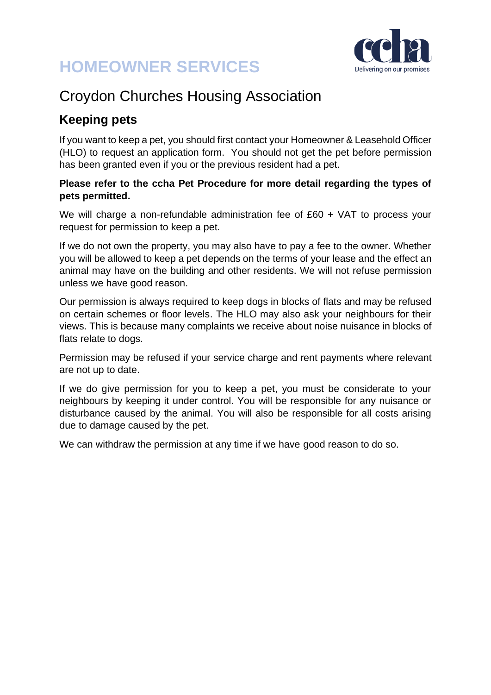

### Croydon Churches Housing Association

### **Keeping pets**

If you want to keep a pet, you should first contact your Homeowner & Leasehold Officer (HLO) to request an application form. You should not get the pet before permission has been granted even if you or the previous resident had a pet.

#### **Please refer to the ccha Pet Procedure for more detail regarding the types of pets permitted.**

We will charge a non-refundable administration fee of £60 + VAT to process your request for permission to keep a pet.

If we do not own the property, you may also have to pay a fee to the owner. Whether you will be allowed to keep a pet depends on the terms of your lease and the effect an animal may have on the building and other residents. We will not refuse permission unless we have good reason.

Our permission is always required to keep dogs in blocks of flats and may be refused on certain schemes or floor levels. The HLO may also ask your neighbours for their views. This is because many complaints we receive about noise nuisance in blocks of flats relate to dogs.

Permission may be refused if your service charge and rent payments where relevant are not up to date.

If we do give permission for you to keep a pet, you must be considerate to your neighbours by keeping it under control. You will be responsible for any nuisance or disturbance caused by the animal. You will also be responsible for all costs arising due to damage caused by the pet.

We can withdraw the permission at any time if we have good reason to do so.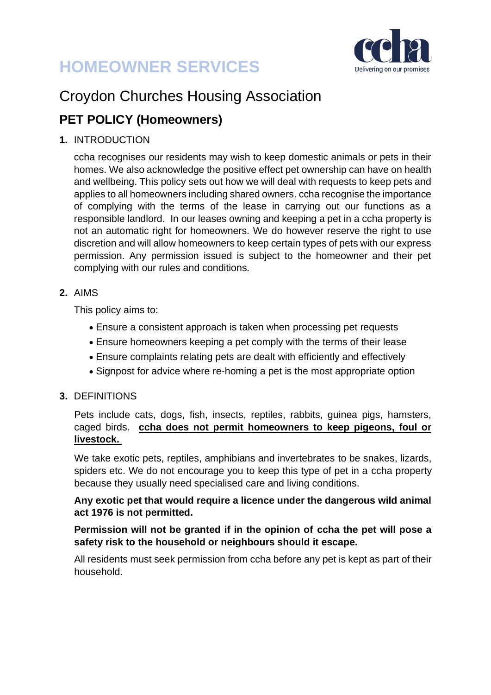



### Croydon Churches Housing Association

### **PET POLICY (Homeowners)**

**1.** INTRODUCTION

ccha recognises our residents may wish to keep domestic animals or pets in their homes. We also acknowledge the positive effect pet ownership can have on health and wellbeing. This policy sets out how we will deal with requests to keep pets and applies to all homeowners including shared owners. ccha recognise the importance of complying with the terms of the lease in carrying out our functions as a responsible landlord. In our leases owning and keeping a pet in a ccha property is not an automatic right for homeowners. We do however reserve the right to use discretion and will allow homeowners to keep certain types of pets with our express permission. Any permission issued is subject to the homeowner and their pet complying with our rules and conditions.

**2.** AIMS

This policy aims to:

- Ensure a consistent approach is taken when processing pet requests
- Ensure homeowners keeping a pet comply with the terms of their lease
- Ensure complaints relating pets are dealt with efficiently and effectively
- Signpost for advice where re-homing a pet is the most appropriate option

#### **3.** DEFINITIONS

Pets include cats, dogs, fish, insects, reptiles, rabbits, guinea pigs, hamsters, caged birds. **ccha does not permit homeowners to keep pigeons, foul or livestock.**

We take exotic pets, reptiles, amphibians and invertebrates to be snakes, lizards, spiders etc. We do not encourage you to keep this type of pet in a ccha property because they usually need specialised care and living conditions.

#### **Any exotic pet that would require a licence under the dangerous wild animal act 1976 is not permitted.**

#### **Permission will not be granted if in the opinion of ccha the pet will pose a safety risk to the household or neighbours should it escape.**

All residents must seek permission from ccha before any pet is kept as part of their household.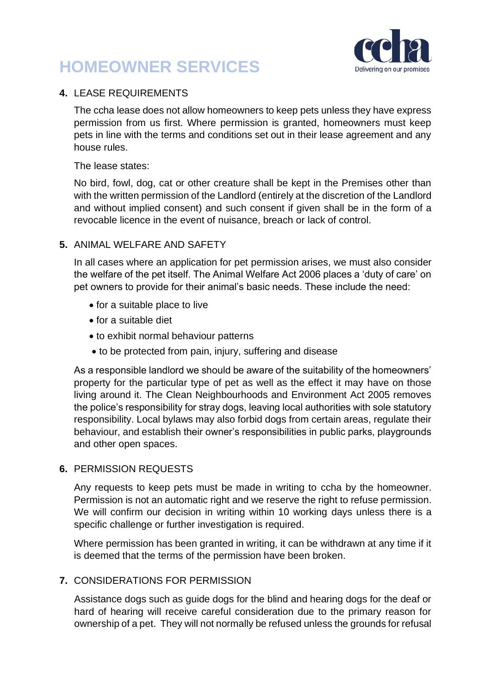

#### **4.** LEASE REQUIREMENTS

The ccha lease does not allow homeowners to keep pets unless they have express permission from us first. Where permission is granted, homeowners must keep pets in line with the terms and conditions set out in their lease agreement and any house rules.

The lease states:

No bird, fowl, dog, cat or other creature shall be kept in the Premises other than with the written permission of the Landlord (entirely at the discretion of the Landlord and without implied consent) and such consent if given shall be in the form of a revocable licence in the event of nuisance, breach or lack of control.

#### **5.** ANIMAL WELFARE AND SAFETY

In all cases where an application for pet permission arises, we must also consider the welfare of the pet itself. The Animal Welfare Act 2006 places a 'duty of care' on pet owners to provide for their animal's basic needs. These include the need:

- for a suitable place to live
- for a suitable diet
- to exhibit normal behaviour patterns
- to be protected from pain, injury, suffering and disease

As a responsible landlord we should be aware of the suitability of the homeowners' property for the particular type of pet as well as the effect it may have on those living around it. The Clean Neighbourhoods and Environment Act 2005 removes the police's responsibility for stray dogs, leaving local authorities with sole statutory responsibility. Local bylaws may also forbid dogs from certain areas, regulate their behaviour, and establish their owner's responsibilities in public parks, playgrounds and other open spaces.

#### **6.** PERMISSION REQUESTS

Any requests to keep pets must be made in writing to ccha by the homeowner. Permission is not an automatic right and we reserve the right to refuse permission. We will confirm our decision in writing within 10 working days unless there is a specific challenge or further investigation is required.

Where permission has been granted in writing, it can be withdrawn at any time if it is deemed that the terms of the permission have been broken.

#### **7.** CONSIDERATIONS FOR PERMISSION

Assistance dogs such as guide dogs for the blind and hearing dogs for the deaf or hard of hearing will receive careful consideration due to the primary reason for ownership of a pet. They will not normally be refused unless the grounds for refusal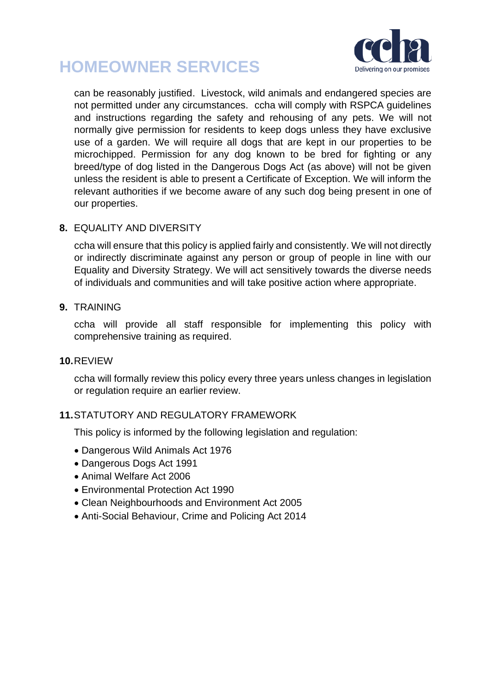

can be reasonably justified. Livestock, wild animals and endangered species are not permitted under any circumstances. ccha will comply with RSPCA guidelines and instructions regarding the safety and rehousing of any pets. We will not normally give permission for residents to keep dogs unless they have exclusive use of a garden. We will require all dogs that are kept in our properties to be microchipped. Permission for any dog known to be bred for fighting or any breed/type of dog listed in the Dangerous Dogs Act (as above) will not be given unless the resident is able to present a Certificate of Exception. We will inform the relevant authorities if we become aware of any such dog being present in one of our properties.

#### **8.** EQUALITY AND DIVERSITY

ccha will ensure that this policy is applied fairly and consistently. We will not directly or indirectly discriminate against any person or group of people in line with our Equality and Diversity Strategy. We will act sensitively towards the diverse needs of individuals and communities and will take positive action where appropriate.

#### **9.** TRAINING

ccha will provide all staff responsible for implementing this policy with comprehensive training as required.

#### **10.**REVIEW

ccha will formally review this policy every three years unless changes in legislation or regulation require an earlier review.

#### **11.**STATUTORY AND REGULATORY FRAMEWORK

This policy is informed by the following legislation and regulation:

- Dangerous Wild Animals Act 1976
- Dangerous Dogs Act 1991
- Animal Welfare Act 2006
- Environmental Protection Act 1990
- Clean Neighbourhoods and Environment Act 2005
- Anti-Social Behaviour, Crime and Policing Act 2014